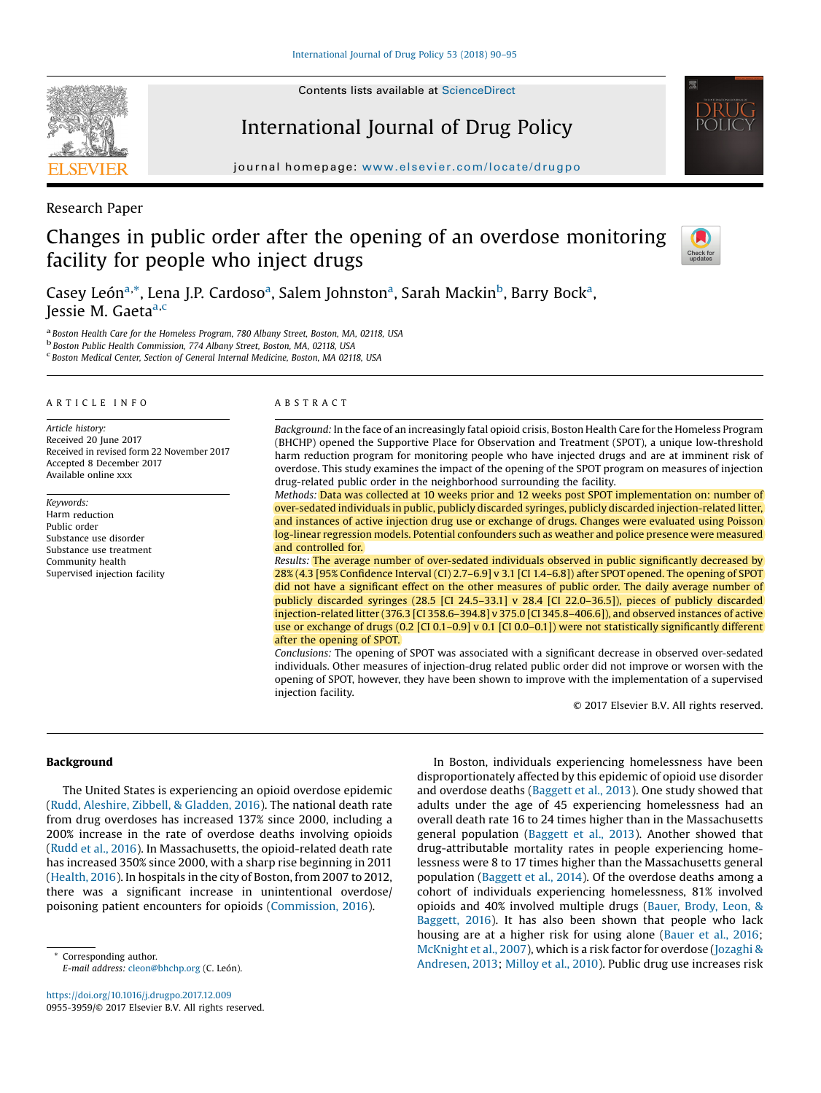Contents lists available at [ScienceDirect](http://www.sciencedirect.com/science/journal/09553959)



International Journal of Drug Policy



journal homepage: <www.elsevier.com/locate/drugpo>

Research Paper

# Changes in public order after the opening of an overdose monitoring facility for people who inject drugs



Casey León<sup>a,\*</sup>, Lena J.P. Cardoso<sup>a</sup>, Salem Johnston<sup>a</sup>, Sarah Mackin<sup>b</sup>, Barry Bock<sup>a</sup>, Jessie M. Gaeta<sup>a,c</sup>

<sup>a</sup> Boston Health Care for the Homeless Program, 780 Albany Street, Boston, MA, 02118, USA b Boston Public Health Commission, 774 Albany Street, Boston, MA, 02118, USA

Boston Medical Center, Section of General Internal Medicine, Boston, MA 02118, USA

#### A R T I C L E I N F O

Article history: Received 20 June 2017 Received in revised form 22 November 2017 Accepted 8 December 2017 Available online xxx

Keywords: Harm reduction Public order Substance use disorder Substance use treatment Community health Supervised injection facility

## A B S T R A C T

Background: In the face of an increasingly fatal opioid crisis, Boston Health Care for the Homeless Program (BHCHP) opened the Supportive Place for Observation and Treatment (SPOT), a unique low-threshold harm reduction program for monitoring people who have injected drugs and are at imminent risk of overdose. This study examines the impact of the opening of the SPOT program on measures of injection drug-related public order in the neighborhood surrounding the facility.

Methods: Data was collected at 10 weeks prior and 12 weeks post SPOT implementation on: number of over-sedated individuals in public, publicly discarded syringes, publicly discarded injection-related litter, and instances of active injection drug use or exchange of drugs. Changes were evaluated using Poisson log-linear regression models. Potential confounders such as weather and police presence were measured and controlled for.

Results: The average number of over-sedated individuals observed in public significantly decreased by 28% (4.3 [95% Confidence Interval (CI) 2.7–6.9] v 3.1 [CI 1.4–6.8]) after SPOT opened. The opening of SPOT did not have a significant effect on the other measures of public order. The daily average number of publicly discarded syringes (28.5 [CI 24.5–33.1] v 28.4 [CI 22.0–36.5]), pieces of publicly discarded injection-related litter (376.3 [CI 358.6–394.8] v 375.0 [CI 345.8–406.6]), and observed instances of active use or exchange of drugs (0.2 [CI 0.1–0.9] v 0.1 [CI 0.0–0.1]) were not statistically significantly different after the opening of SPOT.

Conclusions: The opening of SPOT was associated with a significant decrease in observed over-sedated individuals. Other measures of injection-drug related public order did not improve or worsen with the opening of SPOT, however, they have been shown to improve with the implementation of a supervised injection facility.

© 2017 Elsevier B.V. All rights reserved.

## Background

The United States is experiencing an opioid overdose epidemic (Rudd, Aleshire, Zibbell, & [Gladden,](#page-5-0) 2016). The national death rate from drug overdoses has increased 137% since 2000, including a 200% increase in the rate of overdose deaths involving opioids ([Rudd](#page-5-0) et al., 2016). In Massachusetts, the opioid-related death rate has increased 350% since 2000, with a sharp rise beginning in 2011 ([Health,](#page-5-0) 2016). In hospitals in the city of Boston, from 2007 to 2012, there was a significant increase in unintentional overdose/ poisoning patient encounters for opioids ([Commission,](#page-5-0) 2016).

E-mail address: [cleon@bhchp.org](mailto:cleon@bhchp.org) (C. León).

<https://doi.org/10.1016/j.drugpo.2017.12.009> 0955-3959/© 2017 Elsevier B.V. All rights reserved.

In Boston, individuals experiencing homelessness have been disproportionately affected by this epidemic of opioid use disorder and overdose deaths [\(Baggett](#page-5-0) et al., 2013). One study showed that adults under the age of 45 experiencing homelessness had an overall death rate 16 to 24 times higher than in the Massachusetts general population ([Baggett](#page-5-0) et al., 2013). Another showed that drug-attributable mortality rates in people experiencing homelessness were 8 to 17 times higher than the Massachusetts general population ([Baggett](#page-5-0) et al., 2014). Of the overdose deaths among a cohort of individuals experiencing homelessness, 81% involved opioids and 40% involved multiple drugs (Bauer, [Brody,](#page-5-0) Leon, & [Baggett,](#page-5-0) 2016). It has also been shown that people who lack housing are at a higher risk for using alone ([Bauer](#page-5-0) et al., 2016; [McKnight](#page-5-0) et al., 2007), which is a risk factor for overdose ([Jozaghi](#page-5-0) & Corresponding author.<br>
E-mail address: cleon@bbcbp.org (C León) [Andresen,](#page-5-0) 2013; [Milloy](#page-5-0) et al., 2010). Public drug use increases risk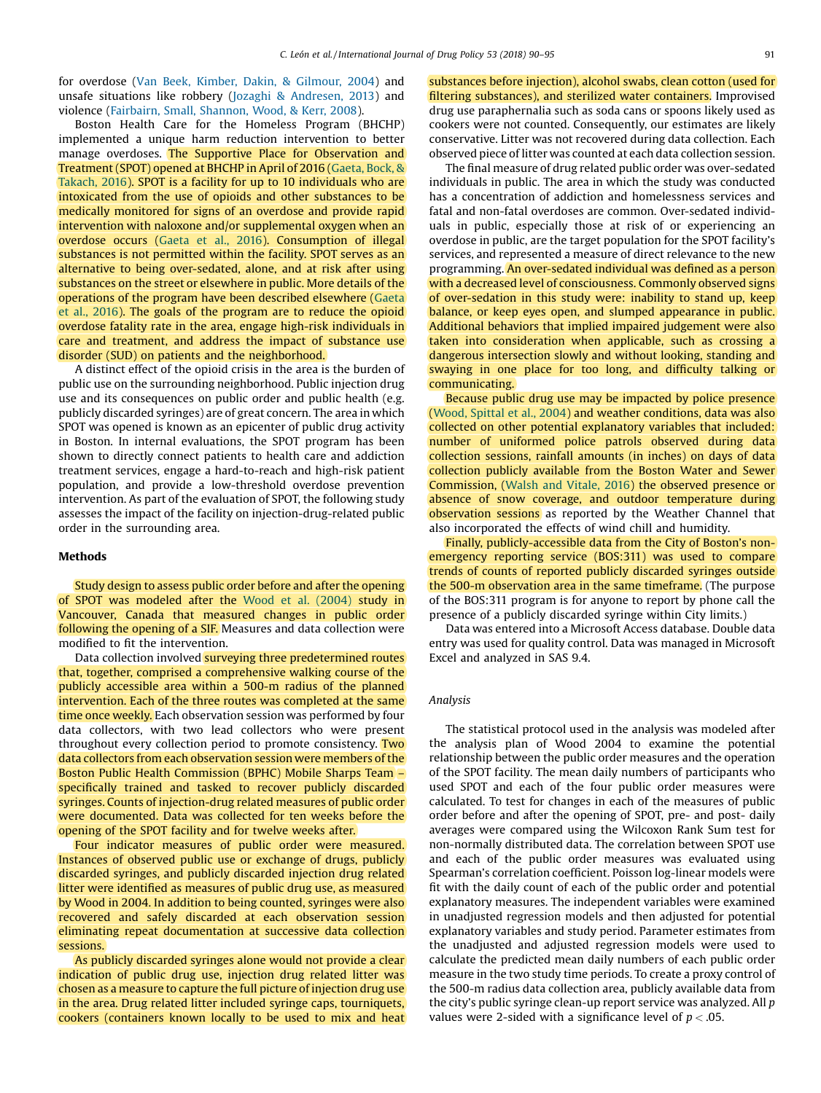for overdose (Van Beek, Kimber, Dakin, & [Gilmour,](#page-5-0) 2004) and unsafe situations like robbery (Jozaghi & [Andresen,](#page-5-0) 2013) and violence [\(Fairbairn,](#page-5-0) Small, Shannon, Wood, & Kerr, 2008).

Boston Health Care for the Homeless Program (BHCHP) implemented a unique harm reduction intervention to better manage overdoses. The Supportive Place for Observation and Treatment (SPOT) opened at BHCHP in April of 2016 ([Gaeta,](#page-5-0) Bock, & [Takach,](#page-5-0) 2016). SPOT is a facility for up to 10 individuals who are intoxicated from the use of opioids and other substances to be medically monitored for signs of an overdose and provide rapid intervention with naloxone and/or supplemental oxygen when an overdose occurs ([Gaeta](#page-5-0) et al., 2016). Consumption of illegal substances is not permitted within the facility. SPOT serves as an alternative to being over-sedated, alone, and at risk after using substances on the street or elsewhere in public. More details of the operations of the program have been described elsewhere ([Gaeta](#page-5-0) et al., [2016](#page-5-0)). The goals of the program are to reduce the opioid overdose fatality rate in the area, engage high-risk individuals in care and treatment, and address the impact of substance use disorder (SUD) on patients and the neighborhood.

A distinct effect of the opioid crisis in the area is the burden of public use on the surrounding neighborhood. Public injection drug use and its consequences on public order and public health (e.g. publicly discarded syringes) are of great concern. The area in which SPOT was opened is known as an epicenter of public drug activity in Boston. In internal evaluations, the SPOT program has been shown to directly connect patients to health care and addiction treatment services, engage a hard-to-reach and high-risk patient population, and provide a low-threshold overdose prevention intervention. As part of the evaluation of SPOT, the following study assesses the impact of the facility on injection-drug-related public order in the surrounding area.

#### Methods

Study design to assess public order before and after the opening of SPOT was modeled after the Wood et al. [\(2004\)](#page-5-0) study in Vancouver, Canada that measured changes in public order following the opening of a SIF. Measures and data collection were modified to fit the intervention.

Data collection involved surveying three predetermined routes that, together, comprised a comprehensive walking course of the publicly accessible area within a 500-m radius of the planned intervention. Each of the three routes was completed at the same time once weekly. Each observation session was performed by four data collectors, with two lead collectors who were present throughout every collection period to promote consistency. Two data collectors from each observation session were members of the Boston Public Health Commission (BPHC) Mobile Sharps Team – specifically trained and tasked to recover publicly discarded syringes. Counts of injection-drug related measures of public order were documented. Data was collected for ten weeks before the opening of the SPOT facility and for twelve weeks after.

Four indicator measures of public order were measured. Instances of observed public use or exchange of drugs, publicly discarded syringes, and publicly discarded injection drug related litter were identified as measures of public drug use, as measured by Wood in 2004. In addition to being counted, syringes were also recovered and safely discarded at each observation session eliminating repeat documentation at successive data collection sessions.

As publicly discarded syringes alone would not provide a clear indication of public drug use, injection drug related litter was chosen as a measure to capture the full picture of injection drug use in the area. Drug related litter included syringe caps, tourniquets, cookers (containers known locally to be used to mix and heat substances before injection), alcohol swabs, clean cotton (used for filtering substances), and sterilized water containers. Improvised drug use paraphernalia such as soda cans or spoons likely used as cookers were not counted. Consequently, our estimates are likely conservative. Litter was not recovered during data collection. Each observed piece of litter was counted at each data collection session.

The final measure of drug related public order was over-sedated individuals in public. The area in which the study was conducted has a concentration of addiction and homelessness services and fatal and non-fatal overdoses are common. Over-sedated individuals in public, especially those at risk of or experiencing an overdose in public, are the target population for the SPOT facility's services, and represented a measure of direct relevance to the new programming. An over-sedated individual was defined as a person with a decreased level of consciousness. Commonly observed signs of over-sedation in this study were: inability to stand up, keep balance, or keep eyes open, and slumped appearance in public. Additional behaviors that implied impaired judgement were also taken into consideration when applicable, such as crossing a dangerous intersection slowly and without looking, standing and swaying in one place for too long, and difficulty talking or communicating.

Because public drug use may be impacted by police presence (Wood, [Spittal](#page-5-0) et al., 2004) and weather conditions, data was also collected on other potential explanatory variables that included: number of uniformed police patrols observed during data collection sessions, rainfall amounts (in inches) on days of data collection publicly available from the Boston Water and Sewer Commission, (Walsh and [Vitale,](#page-5-0) 2016) the observed presence or absence of snow coverage, and outdoor temperature during observation sessions as reported by the Weather Channel that also incorporated the effects of wind chill and humidity.

Finally, publicly-accessible data from the City of Boston's nonemergency reporting service (BOS:311) was used to compare trends of counts of reported publicly discarded syringes outside the 500-m observation area in the same timeframe. (The purpose of the BOS:311 program is for anyone to report by phone call the presence of a publicly discarded syringe within City limits.)

Data was entered into a Microsoft Access database. Double data entry was used for quality control. Data was managed in Microsoft Excel and analyzed in SAS 9.4.

## Analysis

The statistical protocol used in the analysis was modeled after the analysis plan of Wood 2004 to examine the potential relationship between the public order measures and the operation of the SPOT facility. The mean daily numbers of participants who used SPOT and each of the four public order measures were calculated. To test for changes in each of the measures of public order before and after the opening of SPOT, pre- and post- daily averages were compared using the Wilcoxon Rank Sum test for non-normally distributed data. The correlation between SPOT use and each of the public order measures was evaluated using Spearman's correlation coefficient. Poisson log-linear models were fit with the daily count of each of the public order and potential explanatory measures. The independent variables were examined in unadjusted regression models and then adjusted for potential explanatory variables and study period. Parameter estimates from the unadjusted and adjusted regression models were used to calculate the predicted mean daily numbers of each public order measure in the two study time periods. To create a proxy control of the 500-m radius data collection area, publicly available data from the city's public syringe clean-up report service was analyzed. All  $p$ values were 2-sided with a significance level of  $p < .05$ .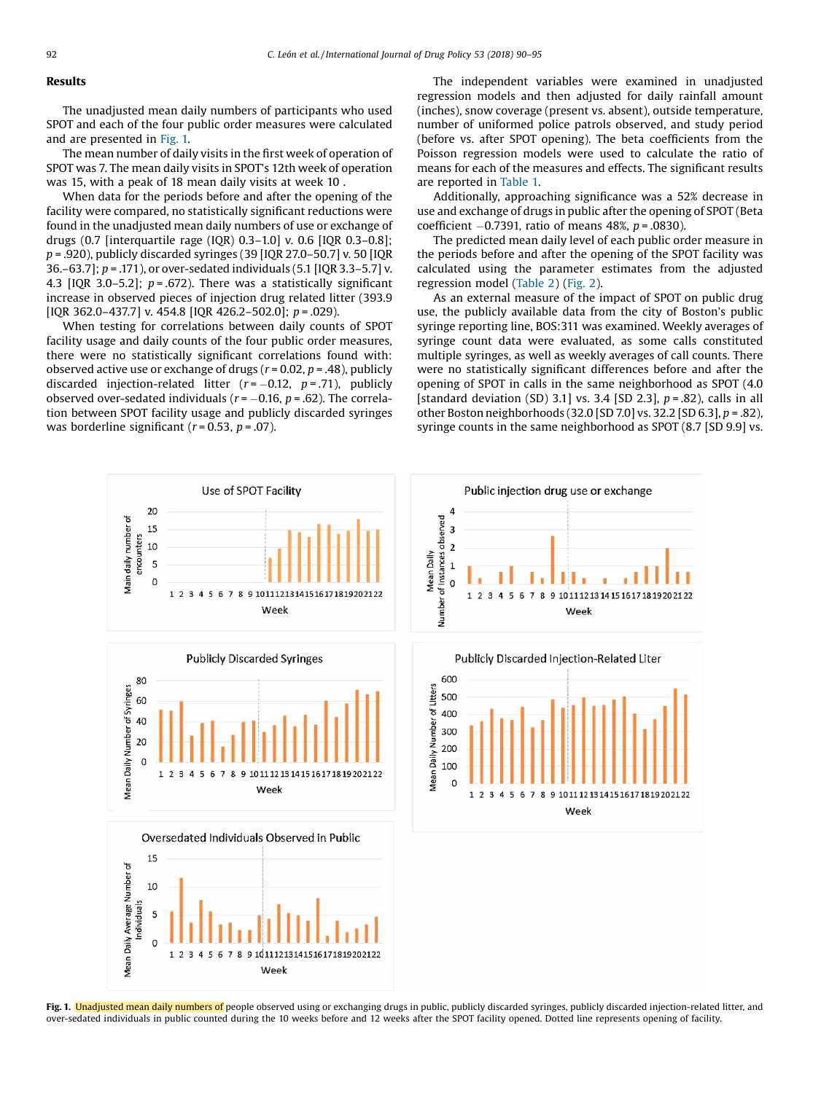# Results

The unadjusted mean daily numbers of participants who used SPOT and each of the four public order measures were calculated and are presented in Fig. 1.

The mean number of daily visits in the first week of operation of SPOT was 7. The mean daily visits in SPOT's 12th week of operation was 15, with a peak of 18 mean daily visits at week 10 .

When data for the periods before and after the opening of the facility were compared, no statistically significant reductions were found in the unadjusted mean daily numbers of use or exchange of drugs (0.7 [interquartile rage (IQR) 0.3–1.0] v. 0.6 [IQR 0.3–0.8];  $p = .920$ ), publicly discarded syringes (39 [IQR 27.0–50.7] v. 50 [IQR 36.–63.7]; p = .171), or over-sedated individuals (5.1 [IQR 3.3–5.7] v. 4.3 [IQR 3.0–5.2];  $p = .672$ ]. There was a statistically significant increase in observed pieces of injection drug related litter (393.9 [IQR 362.0-437.7] v. 454.8 [IQR 426.2-502.0];  $p = .029$ ].

When testing for correlations between daily counts of SPOT facility usage and daily counts of the four public order measures, there were no statistically significant correlations found with: observed active use or exchange of drugs ( $r = 0.02$ ,  $p = .48$ ), publicly discarded injection-related litter  $(r = -0.12, p = .71)$ , publicly observed over-sedated individuals ( $r = -0.16$ ,  $p = .62$ ). The correlation between SPOT facility usage and publicly discarded syringes was borderline significant ( $r = 0.53$ ,  $p = .07$ ).

The independent variables were examined in unadjusted regression models and then adjusted for daily rainfall amount (inches), snow coverage (present vs. absent), outside temperature, number of uniformed police patrols observed, and study period (before vs. after SPOT opening). The beta coefficients from the Poisson regression models were used to calculate the ratio of means for each of the measures and effects. The significant results are reported in [Table](#page-3-0) 1.

Additionally, approaching significance was a 52% decrease in use and exchange of drugs in public after the opening of SPOT (Beta coefficient  $-0.7391$ , ratio of means 48%, p = .0830).

The predicted mean daily level of each public order measure in the periods before and after the opening of the SPOT facility was calculated using the parameter estimates from the adjusted regression model ([Table](#page-3-0) 2) ([Fig.](#page-3-0) 2).

As an external measure of the impact of SPOT on public drug use, the publicly available data from the city of Boston's public syringe reporting line, BOS:311 was examined. Weekly averages of syringe count data were evaluated, as some calls constituted multiple syringes, as well as weekly averages of call counts. There were no statistically significant differences before and after the opening of SPOT in calls in the same neighborhood as SPOT (4.0 [standard deviation (SD) 3.1] vs. 3.4 [SD 2.3],  $p = .82$ ), calls in all other Boston neighborhoods (32.0 [SD 7.0] vs. 32.2 [SD 6.3], p = .82), syringe counts in the same neighborhood as SPOT (8.7 [SD 9.9] vs.



Week



Fig. 1. Unadjusted mean daily numbers of people observed using or exchanging drugs in public, publicly discarded syringes, publicly discarded injection-related litter, and over-sedated individuals in public counted during the 10 weeks before and 12 weeks after the SPOT facility opened. Dotted line represents opening of facility.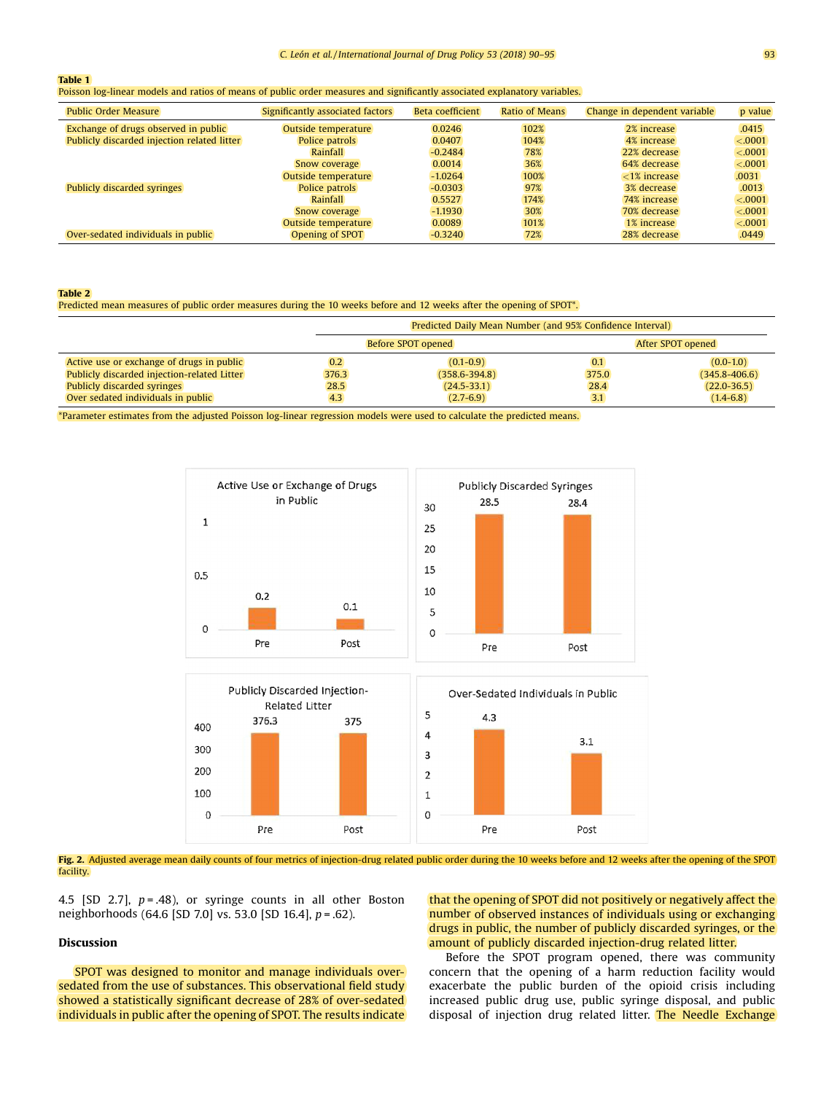## C. León et al. / International Journal of Drug Policy 53 (2018) 90–95 93

#### <span id="page-3-0"></span>Table 1

Poisson log-linear models and ratios of means of public order measures and significantly associated explanatory variables.

| <b>Public Order Measure</b>                 | Significantly associated factors | Beta coefficient | <b>Ratio of Means</b> | Change in dependent variable | p value  |
|---------------------------------------------|----------------------------------|------------------|-----------------------|------------------------------|----------|
| Exchange of drugs observed in public        | Outside temperature              | 0.0246           | 102%                  | 2% increase                  | .0415    |
| Publicly discarded injection related litter | Police patrols                   | 0.0407           | 104%                  | 4% increase                  | < 0.0001 |
|                                             | Rainfall                         | $-0.2484$        | 78%                   | 22% decrease                 | < .0001  |
|                                             | Snow coverage                    | 0.0014           | 36%                   | 64% decrease                 | < .0001  |
|                                             | Outside temperature              | $-1.0264$        | 100%                  | $<$ 1% increase              | .0031    |
| Publicly discarded syringes                 | Police patrols                   | $-0.0303$        | 97%                   | 3% decrease                  | .0013    |
|                                             | Rainfall                         | 0.5527           | 174%                  | 74% increase                 | < .0001  |
|                                             | Snow coverage                    | $-1.1930$        | 30%                   | 70% decrease                 | < .0001  |
|                                             | Outside temperature              | 0.0089           | 101%                  | 1% increase                  | < 0001   |
| Over-sedated individuals in public          | Opening of SPOT                  | $-0.3240$        | 72%                   | 28% decrease                 | .0449    |

#### Table 2

Predicted mean measures of public order measures during the 10 weeks before and 12 weeks after the opening of SPOT\*.

|                                             |       | Predicted Daily Mean Number (and 95% Confidence Interval) |                   |                   |  |  |  |
|---------------------------------------------|-------|-----------------------------------------------------------|-------------------|-------------------|--|--|--|
|                                             |       | Before SPOT opened                                        | After SPOT opened |                   |  |  |  |
| Active use or exchange of drugs in public   | 0.2   | $(0.1 - 0.9)$                                             | 0.1               | $(0.0-1.0)$       |  |  |  |
| Publicly discarded injection-related Litter | 376.3 | $(358.6 - 394.8)$                                         | 375.0             | $(345.8 - 406.6)$ |  |  |  |
| <b>Publicly discarded syringes</b>          | 28.5  | $(24.5 - 33.1)$                                           | 28.4              | $(22.0 - 36.5)$   |  |  |  |
| Over sedated individuals in public          | 4.3   | $(2.7-6.9)$                                               | 3.1               | $(1.4 - 6.8)$     |  |  |  |

\*Parameter estimates from the adjusted Poisson log-linear regression models were used to calculate the predicted means.





Fig. 2. Adjusted average mean daily counts of four metrics of injection-drug related public order during the 10 weeks before and 12 weeks after the opening of the SPOT facility.

4.5 [SD 2.7],  $p = .48$ ), or syringe counts in all other Boston neighborhoods (64.6 [SD 7.0] vs. 53.0 [SD 16.4], p = .62).

# Discussion

SPOT was designed to monitor and manage individuals oversedated from the use of substances. This observational field study showed a statistically significant decrease of 28% of over-sedated individuals in public after the opening of SPOT. The results indicate that the opening of SPOT did not positively or negatively affect the number of observed instances of individuals using or exchanging drugs in public, the number of publicly discarded syringes, or the amount of publicly discarded injection-drug related litter.

Before the SPOT program opened, there was community concern that the opening of a harm reduction facility would exacerbate the public burden of the opioid crisis including increased public drug use, public syringe disposal, and public disposal of injection drug related litter. The Needle Exchange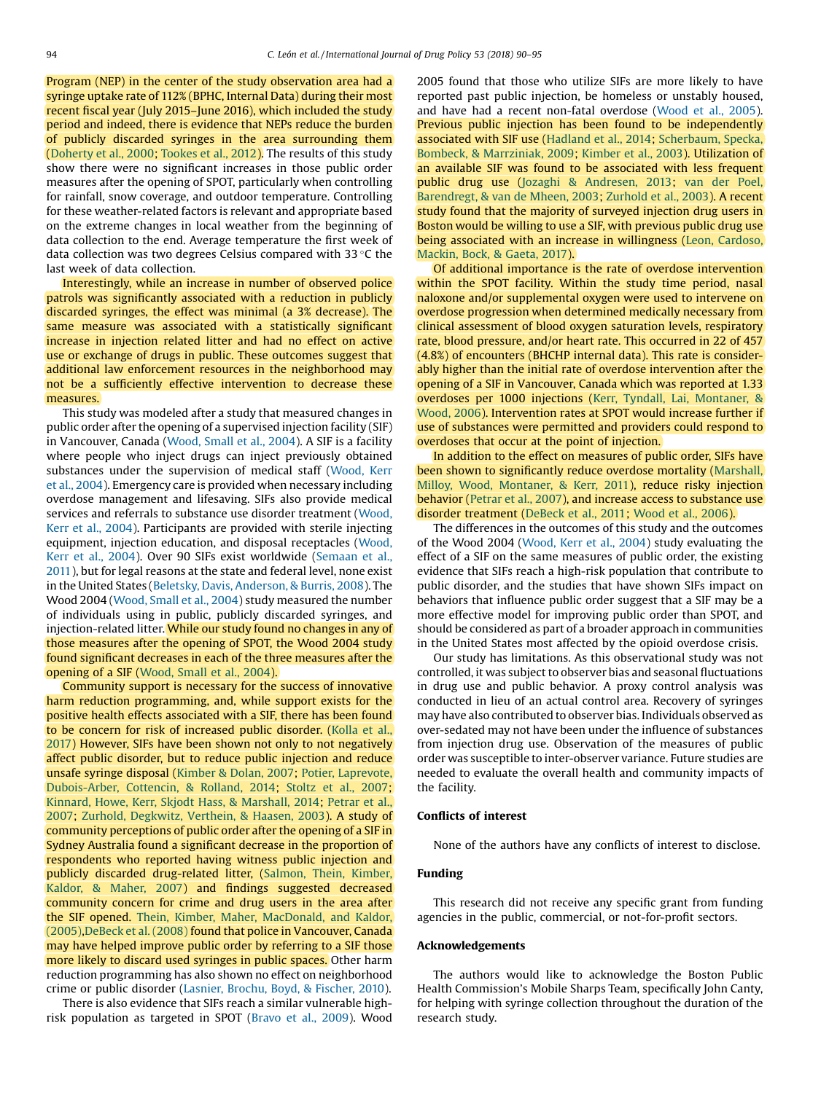Program (NEP) in the center of the study observation area had a syringe uptake rate of 112% (BPHC, Internal Data) during their most recent fiscal year (July 2015–June 2016), which included the study period and indeed, there is evidence that NEPs reduce the burden of publicly discarded syringes in the area surrounding them ([Doherty](#page-5-0) et al., 2000; [Tookes](#page-5-0) et al., 2012). The results of this study show there were no significant increases in those public order measures after the opening of SPOT, particularly when controlling for rainfall, snow coverage, and outdoor temperature. Controlling for these weather-related factors is relevant and appropriate based on the extreme changes in local weather from the beginning of data collection to the end. Average temperature the first week of data collection was two degrees Celsius compared with 33 $\degree$ C the last week of data collection.

Interestingly, while an increase in number of observed police patrols was significantly associated with a reduction in publicly discarded syringes, the effect was minimal (a 3% decrease). The same measure was associated with a statistically significant increase in injection related litter and had no effect on active use or exchange of drugs in public. These outcomes suggest that additional law enforcement resources in the neighborhood may not be a sufficiently effective intervention to decrease these measures.

This study was modeled after a study that measured changes in public order after the opening of a supervised injection facility (SIF) in Vancouver, Canada [\(Wood,](#page-5-0) Small et al., 2004). A SIF is a facility where people who inject drugs can inject previously obtained substances under the supervision of medical staff ([Wood,](#page-5-0) Kerr et al., [2004\)](#page-5-0). Emergency care is provided when necessary including overdose management and lifesaving. SIFs also provide medical services and referrals to substance use disorder treatment [\(Wood,](#page-5-0) Kerr et al., [2004](#page-5-0)). Participants are provided with sterile injecting equipment, injection education, and disposal receptacles [\(Wood,](#page-5-0) Kerr et al., [2004](#page-5-0)). Over 90 SIFs exist worldwide ([Semaan](#page-5-0) et al., [2011](#page-5-0)), but for legal reasons at the state and federal level, none exist in the United States (Beletsky, Davis, [Anderson,](#page-5-0) & Burris, 2008). The Wood 2004 [\(Wood,](#page-5-0) Small et al., 2004) study measured the number of individuals using in public, publicly discarded syringes, and injection-related litter. While our study found no changes in any of those measures after the opening of SPOT, the Wood 2004 study found significant decreases in each of the three measures after the opening of a SIF ([Wood,](#page-5-0) Small et al., 2004).

Community support is necessary for the success of innovative harm reduction programming, and, while support exists for the positive health effects associated with a SIF, there has been found to be concern for risk of increased public disorder. ([Kolla](#page-5-0) et al., [2017](#page-5-0)) However, SIFs have been shown not only to not negatively affect public disorder, but to reduce public injection and reduce unsafe syringe disposal [\(Kimber](#page-5-0) & Dolan, 2007; Potier, [Laprevote,](#page-5-0) [Dubois-Arber,](#page-5-0) Cottencin, & Rolland, 2014; [Stoltz](#page-5-0) et al., 2007; Kinnard, Howe, Kerr, Skjodt Hass, & [Marshall,](#page-5-0) 2014; [Petrar](#page-5-0) et al., [2007](#page-5-0); Zurhold, [Degkwitz,](#page-5-0) Verthein, & Haasen, 2003). A study of community perceptions of public order after the opening of a SIF in Sydney Australia found a significant decrease in the proportion of respondents who reported having witness public injection and publicly discarded drug-related litter, ([Salmon,](#page-5-0) Thein, Kimber, [Kaldor,](#page-5-0) & Maher, 2007) and findings suggested decreased community concern for crime and drug users in the area after the SIF opened. Thein, Kimber, Maher, [MacDonald,](#page-5-0) and Kaldor, [\(2005\),DeBeck](#page-5-0) et al. (2008) found that police in Vancouver, Canada may have helped improve public order by referring to a SIF those more likely to discard used syringes in public spaces. Other harm reduction programming has also shown no effect on neighborhood crime or public disorder [\(Lasnier,](#page-5-0) Brochu, Boyd, & Fischer, 2010).

There is also evidence that SIFs reach a similar vulnerable highrisk population as targeted in SPOT [\(Bravo](#page-5-0) et al., 2009). Wood 2005 found that those who utilize SIFs are more likely to have reported past public injection, be homeless or unstably housed, and have had a recent non-fatal overdose ([Wood](#page-5-0) et al., 2005). Previous public injection has been found to be independently associated with SIF use ([Hadland](#page-5-0) et al., 2014; [Scherbaum,](#page-5-0) Specka, Bombeck, & [Marrziniak,](#page-5-0) 2009; [Kimber](#page-5-0) et al., 2003). Utilization of an available SIF was found to be associated with less frequent public drug use (Jozaghi & [Andresen,](#page-5-0) 2013; van der [Poel,](#page-5-0) [Barendregt,](#page-5-0) & van de Mheen, 2003; [Zurhold](#page-5-0) et al., 2003). A recent study found that the majority of surveyed injection drug users in Boston would be willing to use a SIF, with previous public drug use being associated with an increase in willingness (Leon, [Cardoso,](#page-5-0) [Mackin,](#page-5-0) Bock, & Gaeta, 2017).

Of additional importance is the rate of overdose intervention within the SPOT facility. Within the study time period, nasal naloxone and/or supplemental oxygen were used to intervene on overdose progression when determined medically necessary from clinical assessment of blood oxygen saturation levels, respiratory rate, blood pressure, and/or heart rate. This occurred in 22 of 457 (4.8%) of encounters (BHCHP internal data). This rate is considerably higher than the initial rate of overdose intervention after the opening of a SIF in Vancouver, Canada which was reported at 1.33 overdoses per 1000 injections (Kerr, Tyndall, Lai, [Montaner,](#page-5-0) & [Wood,](#page-5-0) 2006). Intervention rates at SPOT would increase further if use of substances were permitted and providers could respond to overdoses that occur at the point of injection.

In addition to the effect on measures of public order, SIFs have been shown to significantly reduce overdose mortality [\(Marshall,](#page-5-0) Milloy, Wood, [Montaner,](#page-5-0) & Kerr, 2011), reduce risky injection behavior [\(Petrar](#page-5-0) et al., 2007), and increase access to substance use disorder treatment [\(DeBeck](#page-5-0) et al., 2011; [Wood](#page-5-0) et al., 2006).

The differences in the outcomes of this study and the outcomes of the Wood 2004 [\(Wood,](#page-5-0) Kerr et al., 2004) study evaluating the effect of a SIF on the same measures of public order, the existing evidence that SIFs reach a high-risk population that contribute to public disorder, and the studies that have shown SIFs impact on behaviors that influence public order suggest that a SIF may be a more effective model for improving public order than SPOT, and should be considered as part of a broader approach in communities in the United States most affected by the opioid overdose crisis.

Our study has limitations. As this observational study was not controlled, it was subject to observer bias and seasonal fluctuations in drug use and public behavior. A proxy control analysis was conducted in lieu of an actual control area. Recovery of syringes may have also contributed to observer bias. Individuals observed as over-sedated may not have been under the influence of substances from injection drug use. Observation of the measures of public order was susceptible to inter-observer variance. Future studies are needed to evaluate the overall health and community impacts of the facility.

# Conflicts of interest

None of the authors have any conflicts of interest to disclose.

# Funding

This research did not receive any specific grant from funding agencies in the public, commercial, or not-for-profit sectors.

## Acknowledgements

The authors would like to acknowledge the Boston Public Health Commission's Mobile Sharps Team, specifically John Canty, for helping with syringe collection throughout the duration of the research study.